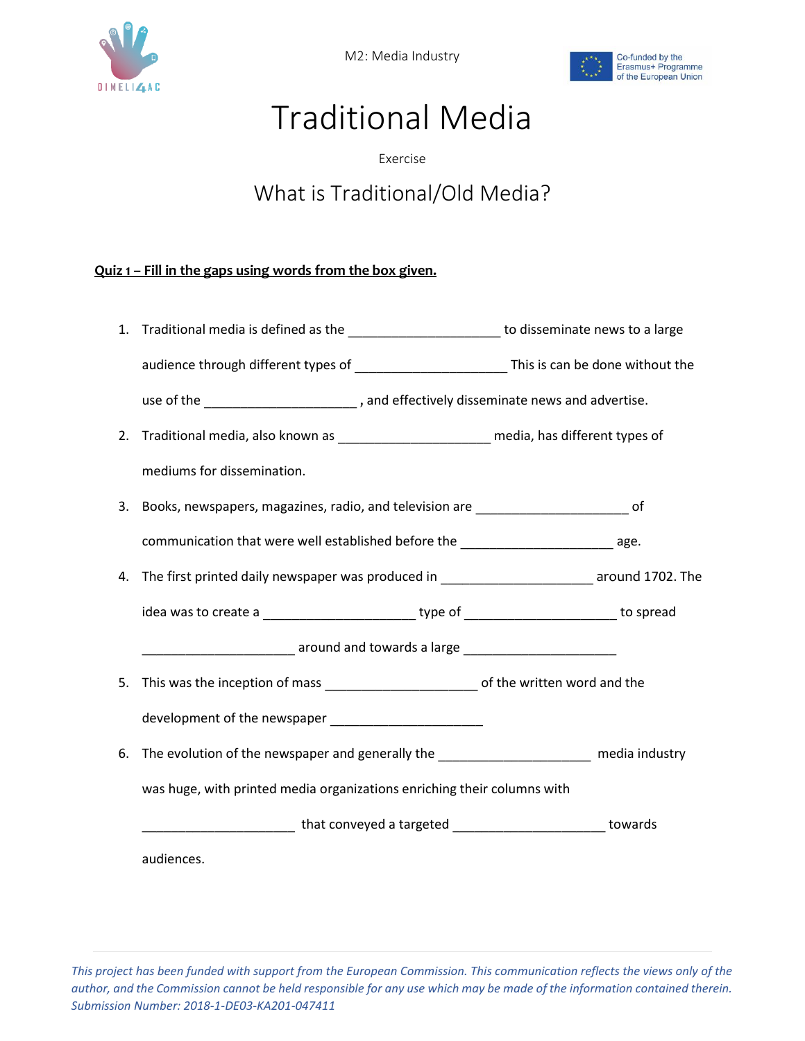

M2: Media Industry



## Traditional Media

Exercise

## What is Traditional/Old Media?

## **Quiz 1 – Fill in the gaps using words from the box given.**

|    | 1. Traditional media is defined as the __________________________ to disseminate news to a large                       |  |  |  |  |
|----|------------------------------------------------------------------------------------------------------------------------|--|--|--|--|
|    |                                                                                                                        |  |  |  |  |
|    | use of the __________________________, and effectively disseminate news and advertise.                                 |  |  |  |  |
| 2. | Traditional media, also known as __________________________ media, has different types of                              |  |  |  |  |
|    | mediums for dissemination.                                                                                             |  |  |  |  |
|    | 3. Books, newspapers, magazines, radio, and television are ______________________ of                                   |  |  |  |  |
|    | communication that were well established before the ____________________________ age.                                  |  |  |  |  |
|    | 4. The first printed daily newspaper was produced in ___________________________ around 1702. The                      |  |  |  |  |
|    | idea was to create a ______________________________type of _____________________________to spread                      |  |  |  |  |
|    | <b>Additional Contract Contract Contract Contract Contract Contract Contract Contract Contract Contract Contract C</b> |  |  |  |  |
| 5. |                                                                                                                        |  |  |  |  |
|    | development of the newspaper __________________________                                                                |  |  |  |  |
| 6. | The evolution of the newspaper and generally the ________________________ media industry                               |  |  |  |  |
|    | was huge, with printed media organizations enriching their columns with                                                |  |  |  |  |
|    |                                                                                                                        |  |  |  |  |
|    | audiences.                                                                                                             |  |  |  |  |

*This project has been funded with support from the European Commission. This communication reflects the views only of the author, and the Commission cannot be held responsible for any use which may be made of the information contained therein. Submission Number: 2018-1-DE03-KA201-047411*